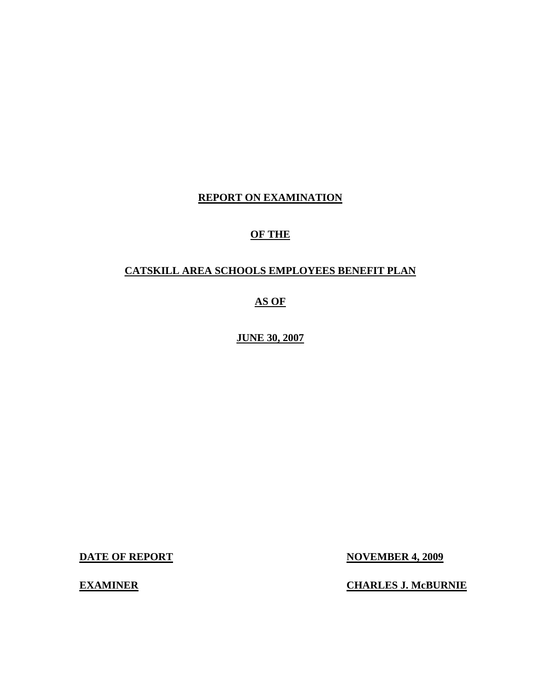## **REPORT ON EXAMINATION**

## **OF THE**

## **CATSKILL AREA SCHOOLS EMPLOYEES BENEFIT PLAN**

**AS OF** 

**JUNE 30, 2007** 

**DATE OF REPORT NOVEMBER 4, 2009** 

**EXAMINER CHARLES J. McBURNIE**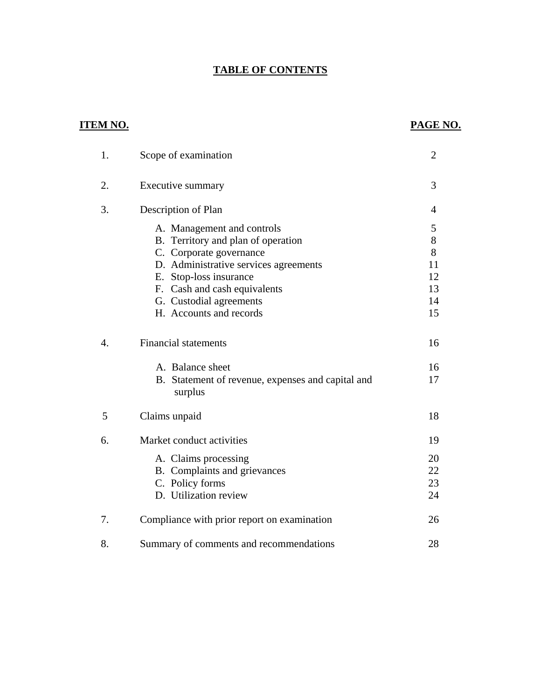## **TABLE OF CONTENTS**

#### **ITEM NO.**

## **PAGE NO.**

| 1. | Scope of examination                                                                                                                                                                                                                                 | $\overline{2}$                            |
|----|------------------------------------------------------------------------------------------------------------------------------------------------------------------------------------------------------------------------------------------------------|-------------------------------------------|
| 2. | Executive summary                                                                                                                                                                                                                                    | 3                                         |
| 3. | Description of Plan                                                                                                                                                                                                                                  | 4                                         |
|    | A. Management and controls<br>B. Territory and plan of operation<br>C. Corporate governance<br>D. Administrative services agreements<br>E. Stop-loss insurance<br>F. Cash and cash equivalents<br>G. Custodial agreements<br>H. Accounts and records | 5<br>8<br>8<br>11<br>12<br>13<br>14<br>15 |
| 4. | <b>Financial statements</b>                                                                                                                                                                                                                          | 16                                        |
|    | A. Balance sheet<br>B. Statement of revenue, expenses and capital and<br>surplus                                                                                                                                                                     | 16<br>17                                  |
| 5  | Claims unpaid                                                                                                                                                                                                                                        | 18                                        |
| 6. | Market conduct activities<br>A. Claims processing<br>B. Complaints and grievances<br>C. Policy forms<br>D. Utilization review                                                                                                                        | 19<br>20<br>22<br>23<br>24                |
| 7. | Compliance with prior report on examination                                                                                                                                                                                                          | 26                                        |
| 8. | Summary of comments and recommendations                                                                                                                                                                                                              | 28                                        |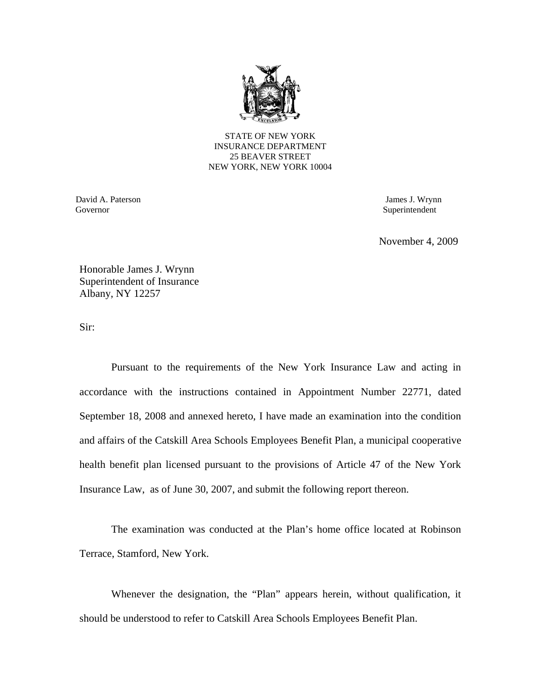

STATE OF NEW YORK INSURANCE DEPARTMENT 25 BEAVER STREET NEW YORK, NEW YORK 10004

Governor David A. Paterson James J. Wrynn

Superintendent

November 4, 2009

Honorable James J. Wrynn Superintendent of Insurance Albany, NY 12257

Sir:

Pursuant to the requirements of the New York Insurance Law and acting in accordance with the instructions contained in Appointment Number 22771, dated September 18, 2008 and annexed hereto, I have made an examination into the condition and affairs of the Catskill Area Schools Employees Benefit Plan, a municipal cooperative health benefit plan licensed pursuant to the provisions of Article 47 of the New York Insurance Law, as of June 30, 2007, and submit the following report thereon.

The examination was conducted at the Plan's home office located at Robinson Terrace, Stamford, New York.

Whenever the designation, the "Plan" appears herein, without qualification, it should be understood to refer to Catskill Area Schools Employees Benefit Plan.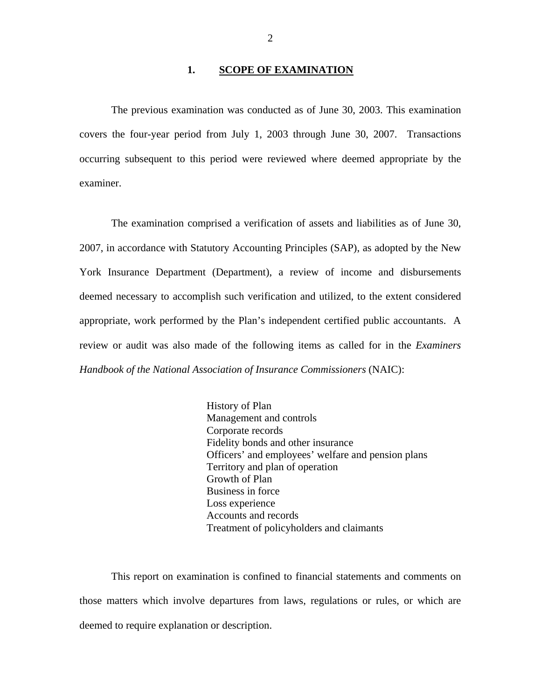#### **1. SCOPE OF EXAMINATION**

The previous examination was conducted as of June 30, 2003. This examination covers the four-year period from July 1, 2003 through June 30, 2007. Transactions occurring subsequent to this period were reviewed where deemed appropriate by the examiner.

The examination comprised a verification of assets and liabilities as of June 30, 2007, in accordance with Statutory Accounting Principles (SAP), as adopted by the New York Insurance Department (Department), a review of income and disbursements deemed necessary to accomplish such verification and utilized, to the extent considered appropriate, work performed by the Plan's independent certified public accountants. A review or audit was also made of the following items as called for in the *Examiners Handbook of the National Association of Insurance Commissioners* (NAIC):

 Loss experience History of Plan Management and controls Corporate records Fidelity bonds and other insurance Officers' and employees' welfare and pension plans Territory and plan of operation Growth of Plan Business in force Accounts and records Treatment of policyholders and claimants

This report on examination is confined to financial statements and comments on those matters which involve departures from laws, regulations or rules, or which are deemed to require explanation or description.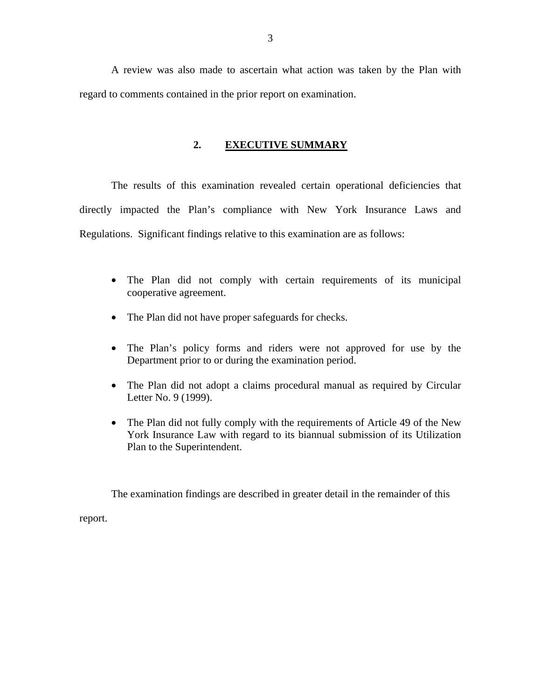A review was also made to ascertain what action was taken by the Plan with regard to comments contained in the prior report on examination.

## **2. EXECUTIVE SUMMARY**

The results of this examination revealed certain operational deficiencies that directly impacted the Plan's compliance with New York Insurance Laws and Regulations. Significant findings relative to this examination are as follows:

- The Plan did not comply with certain requirements of its municipal cooperative agreement.
- The Plan did not have proper safeguards for checks.
- The Plan's policy forms and riders were not approved for use by the Department prior to or during the examination period.
- The Plan did not adopt a claims procedural manual as required by Circular Letter No. 9 (1999).
- The Plan did not fully comply with the requirements of Article 49 of the New York Insurance Law with regard to its biannual submission of its Utilization Plan to the Superintendent.

The examination findings are described in greater detail in the remainder of this

report.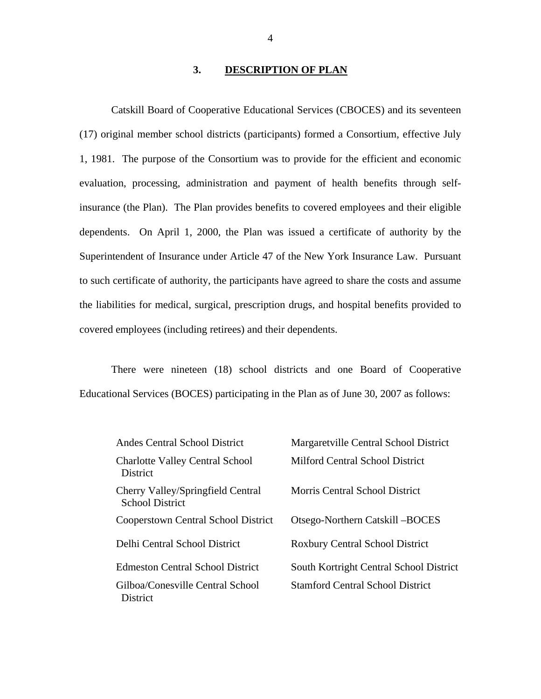#### **3. DESCRIPTION OF PLAN**

Catskill Board of Cooperative Educational Services (CBOCES) and its seventeen (17) original member school districts (participants) formed a Consortium, effective July 1, 1981. The purpose of the Consortium was to provide for the efficient and economic evaluation, processing, administration and payment of health benefits through selfinsurance (the Plan). The Plan provides benefits to covered employees and their eligible dependents. On April 1, 2000, the Plan was issued a certificate of authority by the Superintendent of Insurance under Article 47 of the New York Insurance Law. Pursuant to such certificate of authority, the participants have agreed to share the costs and assume the liabilities for medical, surgical, prescription drugs, and hospital benefits provided to covered employees (including retirees) and their dependents.

There were nineteen (18) school districts and one Board of Cooperative Educational Services (BOCES) participating in the Plan as of June 30, 2007 as follows:

| Andes Central School District                               | Margaretville Central School District   |
|-------------------------------------------------------------|-----------------------------------------|
| <b>Charlotte Valley Central School</b><br><b>District</b>   | Milford Central School District         |
| Cherry Valley/Springfield Central<br><b>School District</b> | <b>Morris Central School District</b>   |
| Cooperstown Central School District                         | Otsego-Northern Catskill – BOCES        |
| Delhi Central School District                               | Roxbury Central School District         |
| Edmeston Central School District                            | South Kortright Central School District |
| Gilboa/Conesville Central School<br>District                | <b>Stamford Central School District</b> |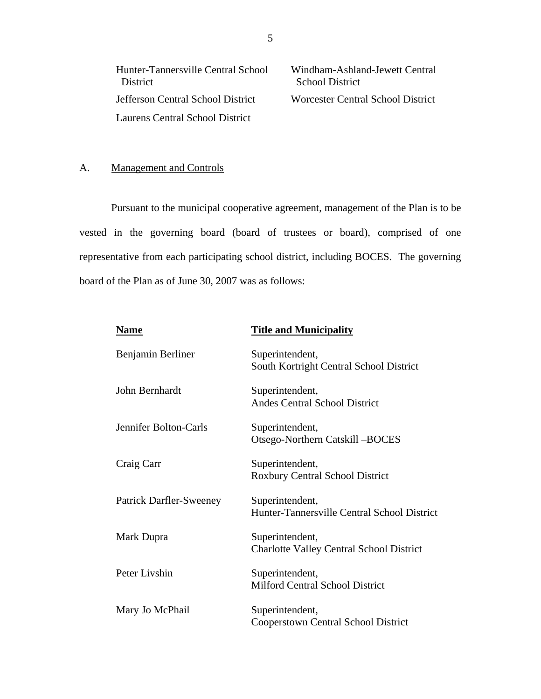| Hunter-Tannersville Central School<br>District | Windham-Ashland-Jewett Central<br><b>School District</b> |
|------------------------------------------------|----------------------------------------------------------|
| Jefferson Central School District              | Worcester Central School District                        |
| <b>Laurens Central School District</b>         |                                                          |

## A. Management and Controls

Pursuant to the municipal cooperative agreement, management of the Plan is to be vested in the governing board (board of trustees or board), comprised of one representative from each participating school district, including BOCES. The governing board of the Plan as of June 30, 2007 was as follows:

| <b>Name</b>                    | <b>Title and Municipality</b>                                      |
|--------------------------------|--------------------------------------------------------------------|
| Benjamin Berliner              | Superintendent,<br>South Kortright Central School District         |
| John Bernhardt                 | Superintendent,<br><b>Andes Central School District</b>            |
| Jennifer Bolton-Carls          | Superintendent,<br>Otsego-Northern Catskill -BOCES                 |
| Craig Carr                     | Superintendent,<br>Roxbury Central School District                 |
| <b>Patrick Darfler-Sweeney</b> | Superintendent,<br>Hunter-Tannersville Central School District     |
| Mark Dupra                     | Superintendent,<br><b>Charlotte Valley Central School District</b> |
| Peter Livshin                  | Superintendent,<br>Milford Central School District                 |
| Mary Jo McPhail                | Superintendent,<br><b>Cooperstown Central School District</b>      |

 $\overline{5}$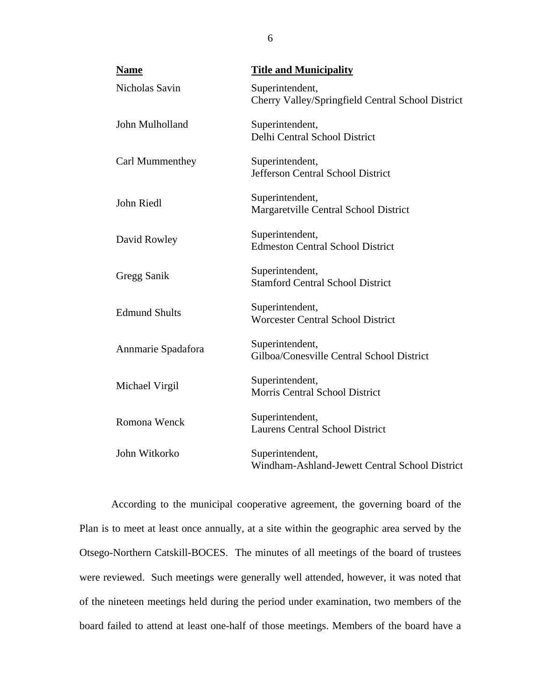| <b>Name</b>          | <b>Title and Municipality</b>                                        |
|----------------------|----------------------------------------------------------------------|
| Nicholas Savin       | Superintendent,<br>Cherry Valley/Springfield Central School District |
| John Mulholland      | Superintendent,<br>Delhi Central School District                     |
| Carl Mummenthey      | Superintendent,<br><b>Jefferson Central School District</b>          |
| John Riedl           | Superintendent,<br>Margaretville Central School District             |
| David Rowley         | Superintendent,<br><b>Edmeston Central School District</b>           |
| Gregg Sanik          | Superintendent,<br><b>Stamford Central School District</b>           |
| <b>Edmund Shults</b> | Superintendent,<br><b>Worcester Central School District</b>          |
| Annmarie Spadafora   | Superintendent,<br>Gilboa/Conesville Central School District         |
| Michael Virgil       | Superintendent,<br>Morris Central School District                    |
| Romona Wenck         | Superintendent,<br><b>Laurens Central School District</b>            |
| John Witkorko        | Superintendent,<br>Windham-Ashland-Jewett Central School District    |

According to the municipal cooperative agreement, the governing board of the Plan is to meet at least once annually, at a site within the geographic area served by the Otsego-Northern Catskill-BOCES. The minutes of all meetings of the board of trustees were reviewed. Such meetings were generally well attended, however, it was noted that of the nineteen meetings held during the period under examination, two members of the board failed to attend at least one-half of those meetings. Members of the board have a

6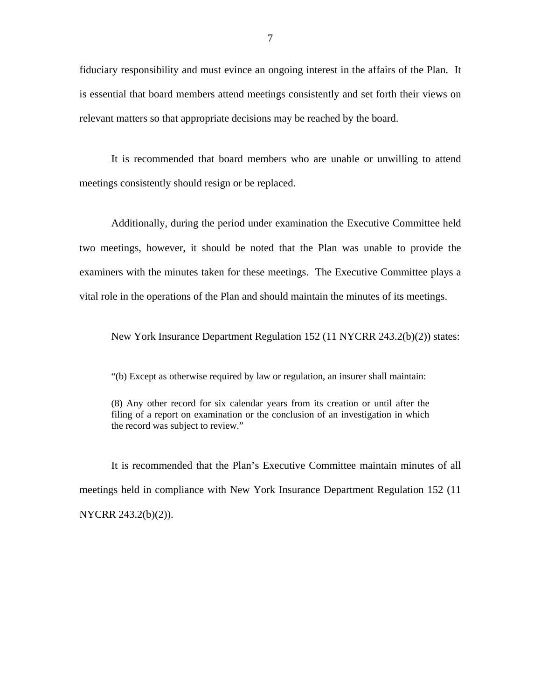fiduciary responsibility and must evince an ongoing interest in the affairs of the Plan. It is essential that board members attend meetings consistently and set forth their views on relevant matters so that appropriate decisions may be reached by the board.

It is recommended that board members who are unable or unwilling to attend meetings consistently should resign or be replaced.

Additionally, during the period under examination the Executive Committee held two meetings, however, it should be noted that the Plan was unable to provide the examiners with the minutes taken for these meetings. The Executive Committee plays a vital role in the operations of the Plan and should maintain the minutes of its meetings.

New York Insurance Department Regulation 152 (11 NYCRR 243.2(b)(2)) states:

"(b) Except as otherwise required by law or regulation, an insurer shall maintain:

It is recommended that the Plan's Executive Committee maintain minutes of all meetings held in compliance with New York Insurance Department Regulation 152 (11 NYCRR 243.2(b)(2)).

<sup>(8)</sup> Any other record for six calendar years from its creation or until after the filing of a report on examination or the conclusion of an investigation in which the record was subject to review."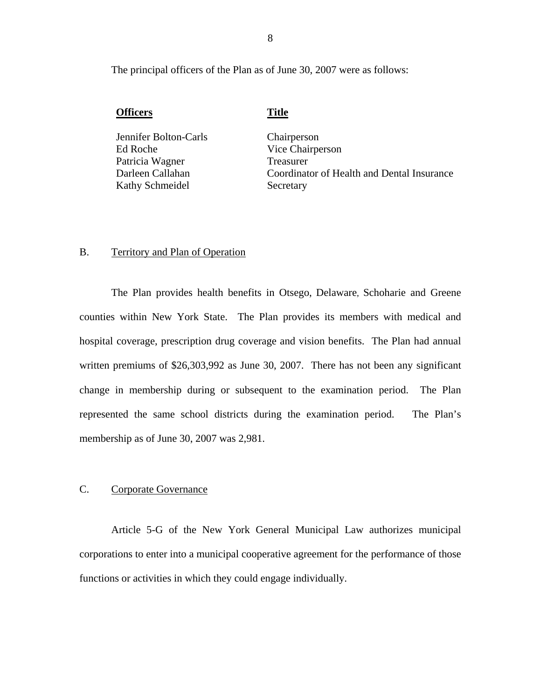The principal officers of the Plan as of June 30, 2007 were as follows:

#### **Officers Title**

Jennifer Bolton-Carls Chairperson Ed Roche Vice Chairperson Patricia Wagner Treasurer Kathy Schmeidel Secretary

Darleen Callahan Coordinator of Health and Dental Insurance

#### B. Territory and Plan of Operation

membership as of June 30, 2007 was 2,981.<br>
C. Corporate Governance The Plan provides health benefits in Otsego, Delaware, Schoharie and Greene counties within New York State. The Plan provides its members with medical and hospital coverage, prescription drug coverage and vision benefits. The Plan had annual written premiums of \$26,303,992 as June 30, 2007. There has not been any significant change in membership during or subsequent to the examination period. The Plan represented the same school districts during the examination period. The Plan's

Article 5-G of the New York General Municipal Law authorizes municipal corporations to enter into a municipal cooperative agreement for the performance of those functions or activities in which they could engage individually.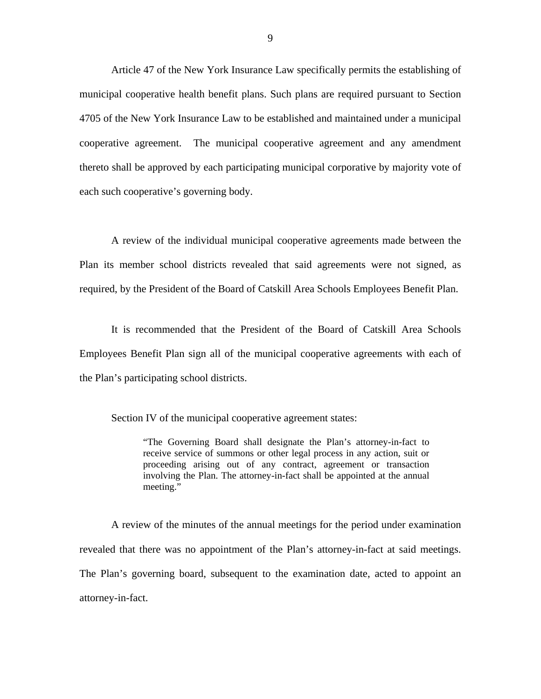Article 47 of the New York Insurance Law specifically permits the establishing of municipal cooperative health benefit plans. Such plans are required pursuant to Section 4705 of the New York Insurance Law to be established and maintained under a municipal cooperative agreement. The municipal cooperative agreement and any amendment thereto shall be approved by each participating municipal corporative by majority vote of each such cooperative's governing body.

A review of the individual municipal cooperative agreements made between the Plan its member school districts revealed that said agreements were not signed, as required, by the President of the Board of Catskill Area Schools Employees Benefit Plan.

It is recommended that the President of the Board of Catskill Area Schools Employees Benefit Plan sign all of the municipal cooperative agreements with each of the Plan's participating school districts.

Section IV of the municipal cooperative agreement states:

"The Governing Board shall designate the Plan's attorney-in-fact to receive service of summons or other legal process in any action, suit or proceeding arising out of any contract, agreement or transaction involving the Plan. The attorney-in-fact shall be appointed at the annual meeting."

A review of the minutes of the annual meetings for the period under examination revealed that there was no appointment of the Plan's attorney-in-fact at said meetings. The Plan's governing board, subsequent to the examination date, acted to appoint an attorney-in-fact.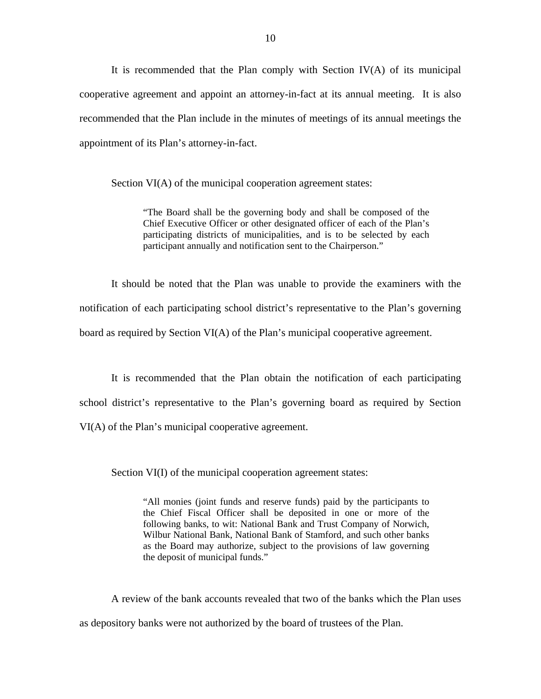It is recommended that the Plan comply with Section  $IV(A)$  of its municipal cooperative agreement and appoint an attorney-in-fact at its annual meeting. It is also recommended that the Plan include in the minutes of meetings of its annual meetings the appointment of its Plan's attorney-in-fact.

Section VI(A) of the municipal cooperation agreement states:

"The Board shall be the governing body and shall be composed of the Chief Executive Officer or other designated officer of each of the Plan's participating districts of municipalities, and is to be selected by each participant annually and notification sent to the Chairperson."

It should be noted that the Plan was unable to provide the examiners with the notification of each participating school district's representative to the Plan's governing board as required by Section VI(A) of the Plan's municipal cooperative agreement.

It is recommended that the Plan obtain the notification of each participating school district's representative to the Plan's governing board as required by Section VI(A) of the Plan's municipal cooperative agreement.

Section VI(I) of the municipal cooperation agreement states:

"All monies (joint funds and reserve funds) paid by the participants to the Chief Fiscal Officer shall be deposited in one or more of the following banks, to wit: National Bank and Trust Company of Norwich, Wilbur National Bank, National Bank of Stamford, and such other banks as the Board may authorize, subject to the provisions of law governing the deposit of municipal funds."

A review of the bank accounts revealed that two of the banks which the Plan uses as depository banks were not authorized by the board of trustees of the Plan.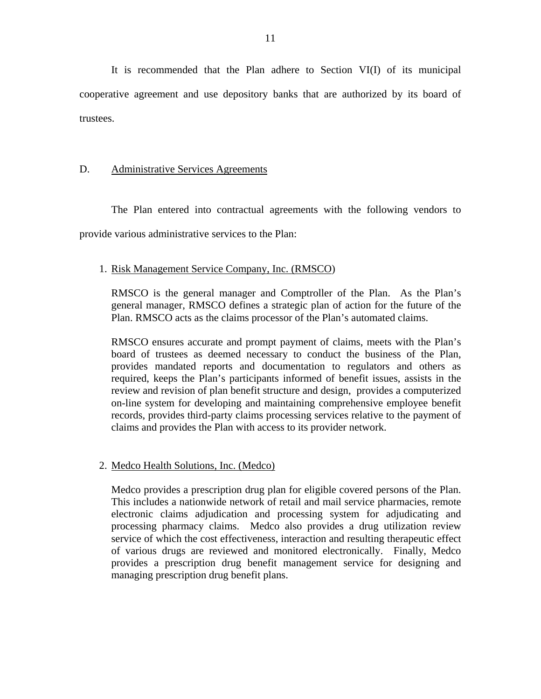It is recommended that the Plan adhere to Section VI(I) of its municipal cooperative agreement and use depository banks that are authorized by its board of trustees.

#### D. Administrative Services Agreements

The Plan entered into contractual agreements with the following vendors to provide various administrative services to the Plan:

#### 1. Risk Management Service Company, Inc. (RMSCO)

RMSCO is the general manager and Comptroller of the Plan. As the Plan's general manager, RMSCO defines a strategic plan of action for the future of the Plan. RMSCO acts as the claims processor of the Plan's automated claims.

RMSCO ensures accurate and prompt payment of claims, meets with the Plan's board of trustees as deemed necessary to conduct the business of the Plan, provides mandated reports and documentation to regulators and others as required, keeps the Plan's participants informed of benefit issues, assists in the review and revision of plan benefit structure and design, provides a computerized on-line system for developing and maintaining comprehensive employee benefit records, provides third-party claims processing services relative to the payment of claims and provides the Plan with access to its provider network.

#### 2. Medco Health Solutions, Inc. (Medco)

Medco provides a prescription drug plan for eligible covered persons of the Plan. This includes a nationwide network of retail and mail service pharmacies, remote electronic claims adjudication and processing system for adjudicating and processing pharmacy claims. Medco also provides a drug utilization review service of which the cost effectiveness, interaction and resulting therapeutic effect of various drugs are reviewed and monitored electronically. Finally, Medco provides a prescription drug benefit management service for designing and managing prescription drug benefit plans.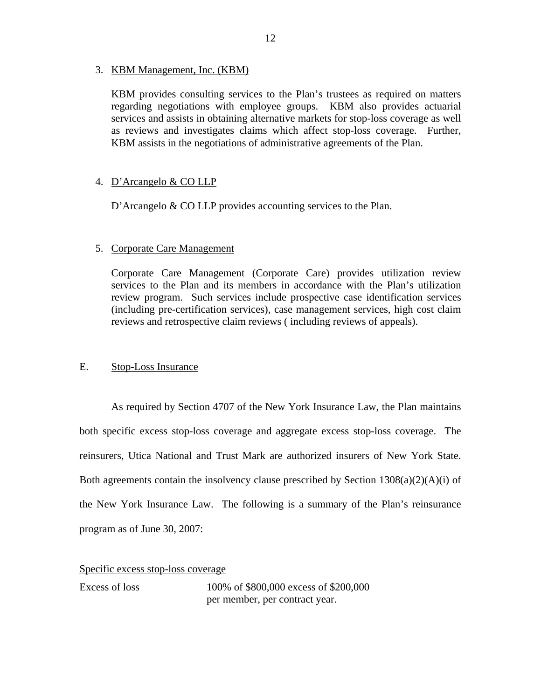3. KBM Management, Inc. (KBM)

KBM provides consulting services to the Plan's trustees as required on matters regarding negotiations with employee groups. KBM also provides actuarial services and assists in obtaining alternative markets for stop-loss coverage as well as reviews and investigates claims which affect stop-loss coverage. Further, KBM assists in the negotiations of administrative agreements of the Plan.

### 4. D'Arcangelo & CO LLP

 $D'$ Arcangelo & CO LLP provides accounting services to the Plan.

#### 5. Corporate Care Management

Corporate Care Management (Corporate Care) provides utilization review services to the Plan and its members in accordance with the Plan's utilization review program. Such services include prospective case identification services (including pre-certification services), case management services, high cost claim reviews and retrospective claim reviews ( including reviews of appeals).

#### E. Stop-Loss Insurance

As required by Section 4707 of the New York Insurance Law, the Plan maintains both specific excess stop-loss coverage and aggregate excess stop-loss coverage. The reinsurers, Utica National and Trust Mark are authorized insurers of New York State. Both agreements contain the insolvency clause prescribed by Section  $1308(a)(2)(A)(i)$  of the New York Insurance Law. The following is a summary of the Plan's reinsurance program as of June 30, 2007:

#### Specific excess stop-loss coverage

Excess of loss  $100\%$  of \$800,000 excess of \$200,000 per member, per contract year.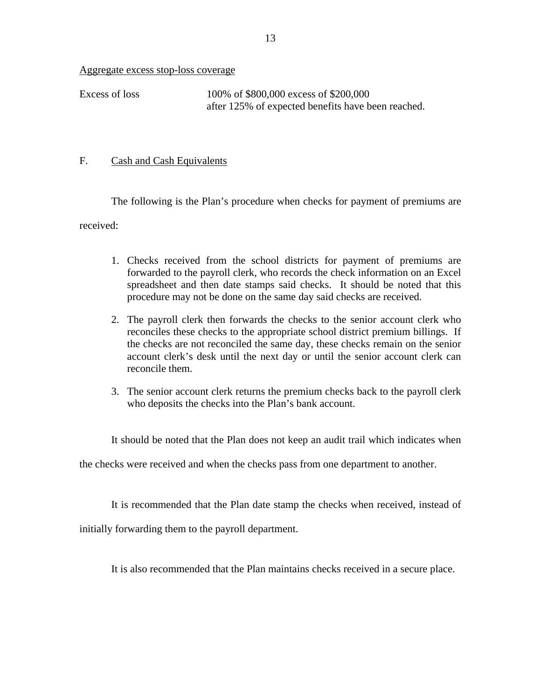Aggregate excess stop-loss coverage<br>Excess of loss 100% of \$800,000 excess of \$200,000 after 125% of expected benefits have been reached.

### F. Cash and Cash Equivalents

The following is the Plan's procedure when checks for payment of premiums are

received:

- 1. Checks received from the school districts for payment of premiums are forwarded to the payroll clerk, who records the check information on an Excel spreadsheet and then date stamps said checks. It should be noted that this procedure may not be done on the same day said checks are received.
- 2. The payroll clerk then forwards the checks to the senior account clerk who reconciles these checks to the appropriate school district premium billings. If the checks are not reconciled the same day, these checks remain on the senior account clerk's desk until the next day or until the senior account clerk can reconcile them.
- 3. The senior account clerk returns the premium checks back to the payroll clerk who deposits the checks into the Plan's bank account.

It should be noted that the Plan does not keep an audit trail which indicates when

the checks were received and when the checks pass from one department to another.

It is recommended that the Plan date stamp the checks when received, instead of initially forwarding them to the payroll department.

It is also recommended that the Plan maintains checks received in a secure place.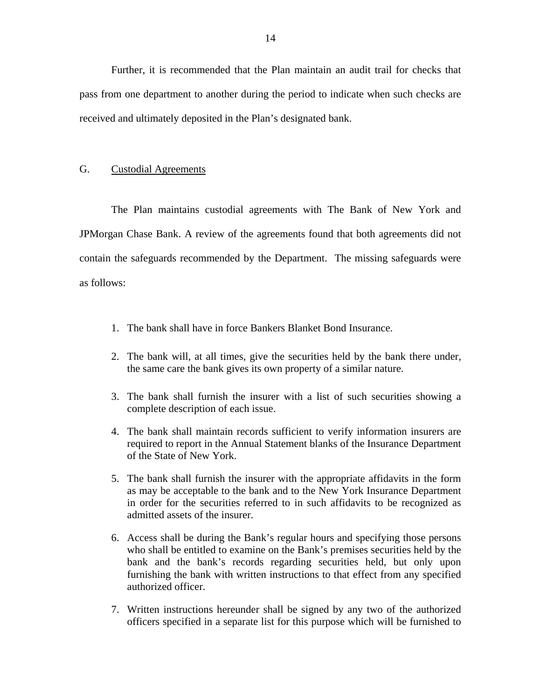Further, it is recommended that the Plan maintain an audit trail for checks that pass from one department to another during the period to indicate when such checks are received and ultimately deposited in the Plan's designated bank.

#### **Custodial Agreements**

G. Custodial Agreements<br>The Plan maintains custodial agreements with The Bank of New York and JPMorgan Chase Bank. A review of the agreements found that both agreements did not contain the safeguards recommended by the Department. The missing safeguards were as follows:

- 1. The bank shall have in force Bankers Blanket Bond Insurance.
- 2. The bank will, at all times, give the securities held by the bank there under, the same care the bank gives its own property of a similar nature.
- 3. The bank shall furnish the insurer with a list of such securities showing a complete description of each issue.
- 4. The bank shall maintain records sufficient to verify information insurers are required to report in the Annual Statement blanks of the Insurance Department of the State of New York.
- 5. The bank shall furnish the insurer with the appropriate affidavits in the form as may be acceptable to the bank and to the New York Insurance Department in order for the securities referred to in such affidavits to be recognized as admitted assets of the insurer.
- 6. Access shall be during the Bank's regular hours and specifying those persons who shall be entitled to examine on the Bank's premises securities held by the bank and the bank's records regarding securities held, but only upon furnishing the bank with written instructions to that effect from any specified authorized officer.
- 7. Written instructions hereunder shall be signed by any two of the authorized officers specified in a separate list for this purpose which will be furnished to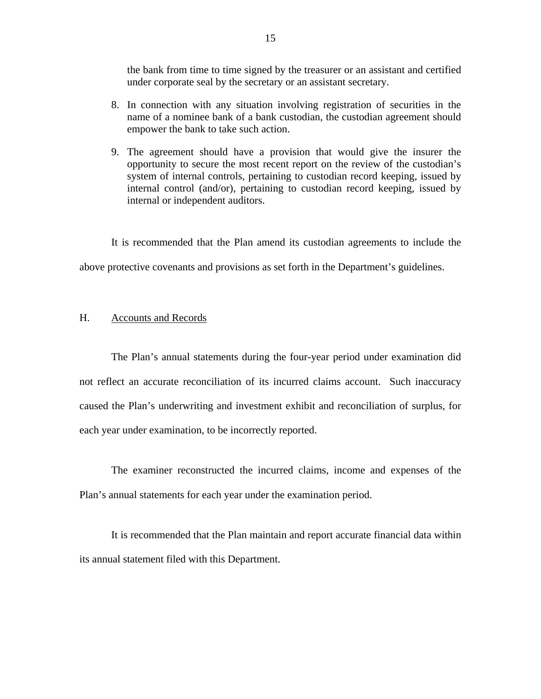the bank from time to time signed by the treasurer or an assistant and certified under corporate seal by the secretary or an assistant secretary.

- 8. In connection with any situation involving registration of securities in the name of a nominee bank of a bank custodian, the custodian agreement should empower the bank to take such action.
- 9. The agreement should have a provision that would give the insurer the opportunity to secure the most recent report on the review of the custodian's system of internal controls, pertaining to custodian record keeping, issued by internal control (and/or), pertaining to custodian record keeping, issued by internal or independent auditors.

It is recommended that the Plan amend its custodian agreements to include the above protective covenants and provisions as set forth in the Department's guidelines.

#### H. Accounts and Records

The Plan's annual statements during the four-year period under examination did not reflect an accurate reconciliation of its incurred claims account. Such inaccuracy caused the Plan's underwriting and investment exhibit and reconciliation of surplus, for each year under examination, to be incorrectly reported.

The examiner reconstructed the incurred claims, income and expenses of the Plan's annual statements for each year under the examination period.

It is recommended that the Plan maintain and report accurate financial data within its annual statement filed with this Department.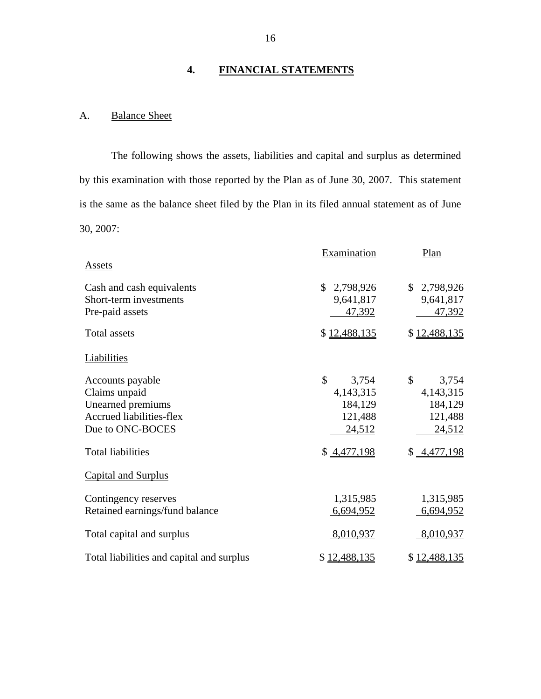## **4. FINANCIAL STATEMENTS**

## A. Balance Sheet

The following shows the assets, liabilities and capital and surplus as determined by this examination with those reported by the Plan as of June 30, 2007. This statement is the same as the balance sheet filed by the Plan in its filed annual statement as of June 30, 2007:

|                                           | Examination            | Plan         |
|-------------------------------------------|------------------------|--------------|
| Assets                                    |                        |              |
| Cash and cash equivalents                 | \$2,798,926            | \$2,798,926  |
| Short-term investments                    | 9,641,817              | 9,641,817    |
| Pre-paid assets                           | 47,392                 | 47,392       |
| <b>Total assets</b>                       | \$12,488,135           | \$12,488,135 |
| <b>Liabilities</b>                        |                        |              |
| Accounts payable                          | $\mathcal{S}$<br>3,754 | \$<br>3,754  |
| Claims unpaid                             | 4,143,315              | 4,143,315    |
| Unearned premiums                         | 184,129                | 184,129      |
| Accrued liabilities-flex                  | 121,488                | 121,488      |
| Due to ONC-BOCES                          | 24,512                 | 24,512       |
| <b>Total liabilities</b>                  | \$4,477,198            | \$4,477,198  |
| <b>Capital and Surplus</b>                |                        |              |
| Contingency reserves                      | 1,315,985              | 1,315,985    |
| Retained earnings/fund balance            | 6,694,952              | 6,694,952    |
| Total capital and surplus                 | 8,010,937              | 8,010,937    |
| Total liabilities and capital and surplus | \$12,488,135           | \$12,488,135 |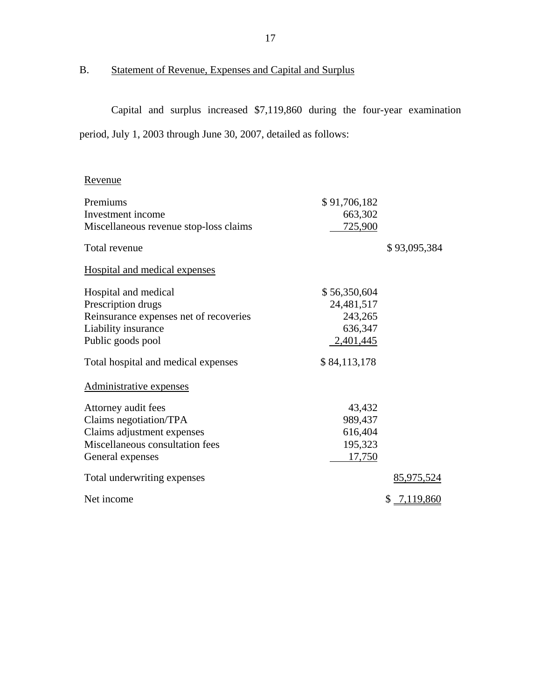## B. Statement of Revenue, Expenses and Capital and Surplus

Capital and surplus increased \$7,119,860 during the four-year examination period, July 1, 2003 through June 30, 2007, detailed as follows:

## Revenue

| Premiums                               | \$91,706,182 |              |
|----------------------------------------|--------------|--------------|
| Investment income                      | 663,302      |              |
| Miscellaneous revenue stop-loss claims | 725,900      |              |
| Total revenue                          |              | \$93,095,384 |
| Hospital and medical expenses          |              |              |
| Hospital and medical                   | \$56,350,604 |              |
| Prescription drugs                     | 24,481,517   |              |
| Reinsurance expenses net of recoveries | 243,265      |              |
| Liability insurance                    | 636,347      |              |
| Public goods pool                      | 2,401,445    |              |
| Total hospital and medical expenses    | \$84,113,178 |              |
| Administrative expenses                |              |              |
| Attorney audit fees                    | 43,432       |              |
| Claims negotiation/TPA                 | 989,437      |              |
| Claims adjustment expenses             | 616,404      |              |
| Miscellaneous consultation fees        | 195,323      |              |
| General expenses                       | 17,750       |              |
| Total underwriting expenses            |              | 85,975,524   |
| Net income                             |              | \$7,119,860  |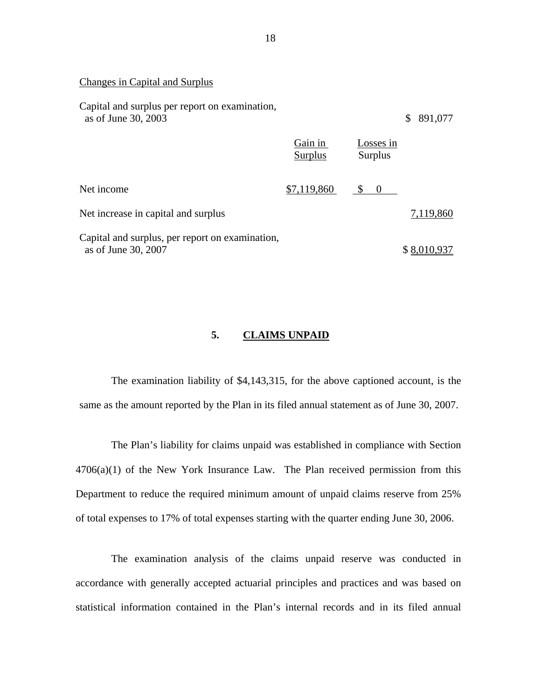#### Changes in Capital and Surplus

| Capital and surplus per report on examination,<br>as of June 30, 2003  |                           |                             | 891,077<br>\$ |
|------------------------------------------------------------------------|---------------------------|-----------------------------|---------------|
|                                                                        | Gain in<br><b>Surplus</b> | Losses in<br><b>Surplus</b> |               |
| Net income                                                             | \$7,119,860               |                             |               |
| Net increase in capital and surplus                                    |                           |                             | 7,119,860     |
| Capital and surplus, per report on examination,<br>as of June 30, 2007 |                           |                             | \$8,010,937   |

#### **5. CLAIMS UNPAID**

The examination liability of \$4,143,315, for the above captioned account, is the same as the amount reported by the Plan in its filed annual statement as of June 30, 2007.

The Plan's liability for claims unpaid was established in compliance with Section  $4706(a)(1)$  of the New York Insurance Law. The Plan received permission from this Department to reduce the required minimum amount of unpaid claims reserve from 25% of total expenses to 17% of total expenses starting with the quarter ending June 30, 2006.

The examination analysis of the claims unpaid reserve was conducted in accordance with generally accepted actuarial principles and practices and was based on statistical information contained in the Plan's internal records and in its filed annual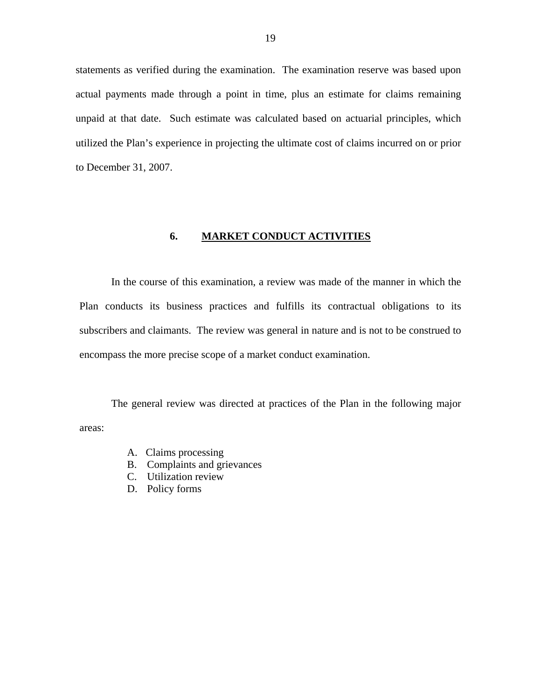statements as verified during the examination. The examination reserve was based upon actual payments made through a point in time, plus an estimate for claims remaining unpaid at that date. Such estimate was calculated based on actuarial principles, which utilized the Plan's experience in projecting the ultimate cost of claims incurred on or prior to December 31, 2007.

#### **6. MARKET CONDUCT ACTIVITIES**

In the course of this examination, a review was made of the manner in which the Plan conducts its business practices and fulfills its contractual obligations to its subscribers and claimants. The review was general in nature and is not to be construed to encompass the more precise scope of a market conduct examination.

The general review was directed at practices of the Plan in the following major areas:

A. Claims processing

- B. Complaints and grievances
- C. Utilization review
- D. Policy forms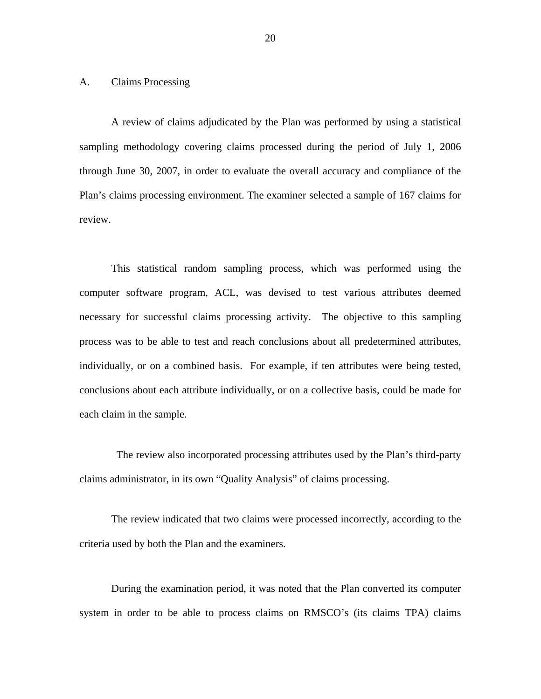#### A. Claims Processing

A review of claims adjudicated by the Plan was performed by using a statistical sampling methodology covering claims processed during the period of July 1, 2006 through June 30, 2007, in order to evaluate the overall accuracy and compliance of the Plan's claims processing environment. The examiner selected a sample of 167 claims for review.

This statistical random sampling process, which was performed using the computer software program, ACL, was devised to test various attributes deemed necessary for successful claims processing activity. The objective to this sampling process was to be able to test and reach conclusions about all predetermined attributes, individually, or on a combined basis. For example, if ten attributes were being tested, conclusions about each attribute individually, or on a collective basis, could be made for each claim in the sample.

The review also incorporated processing attributes used by the Plan's third-party claims administrator, in its own "Quality Analysis" of claims processing.

The review indicated that two claims were processed incorrectly, according to the criteria used by both the Plan and the examiners.

During the examination period, it was noted that the Plan converted its computer system in order to be able to process claims on RMSCO's (its claims TPA) claims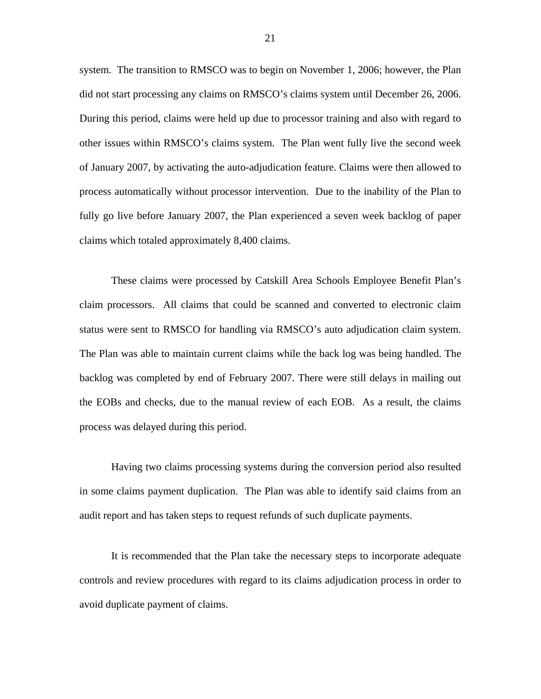system. The transition to RMSCO was to begin on November 1, 2006; however, the Plan did not start processing any claims on RMSCO's claims system until December 26, 2006. During this period, claims were held up due to processor training and also with regard to other issues within RMSCO's claims system. The Plan went fully live the second week of January 2007, by activating the auto-adjudication feature. Claims were then allowed to process automatically without processor intervention. Due to the inability of the Plan to fully go live before January 2007, the Plan experienced a seven week backlog of paper claims which totaled approximately 8,400 claims.

These claims were processed by Catskill Area Schools Employee Benefit Plan's claim processors. All claims that could be scanned and converted to electronic claim status were sent to RMSCO for handling via RMSCO's auto adjudication claim system. The Plan was able to maintain current claims while the back log was being handled. The backlog was completed by end of February 2007. There were still delays in mailing out the EOBs and checks, due to the manual review of each EOB. As a result, the claims process was delayed during this period.

Having two claims processing systems during the conversion period also resulted in some claims payment duplication. The Plan was able to identify said claims from an audit report and has taken steps to request refunds of such duplicate payments.

It is recommended that the Plan take the necessary steps to incorporate adequate controls and review procedures with regard to its claims adjudication process in order to avoid duplicate payment of claims.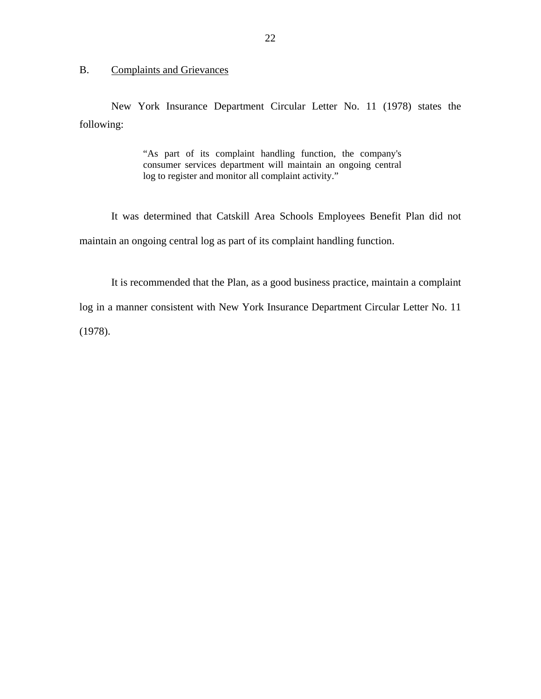## B. Complaints and Grievances

New York Insurance Department Circular Letter No. 11 (1978) states the following:

> "As part of its complaint handling function, the company's consumer services department will maintain an ongoing central log to register and monitor all complaint activity."

It was determined that Catskill Area Schools Employees Benefit Plan did not maintain an ongoing central log as part of its complaint handling function.

It is recommended that the Plan, as a good business practice, maintain a complaint log in a manner consistent with New York Insurance Department Circular Letter No. 11 (1978).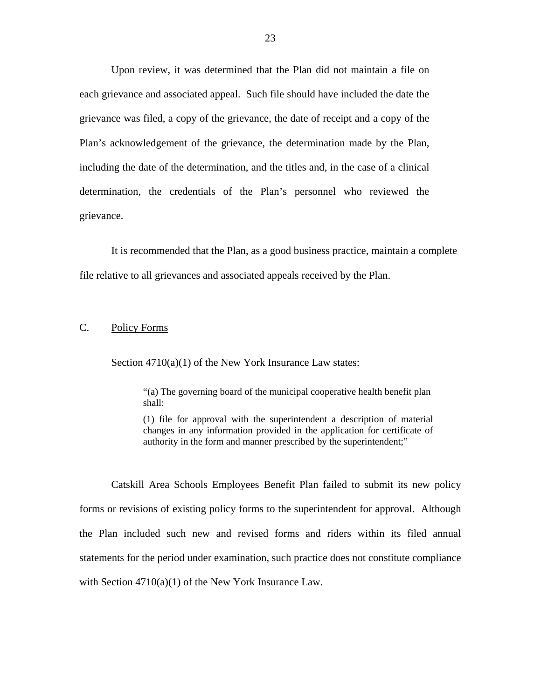Upon review, it was determined that the Plan did not maintain a file on each grievance and associated appeal. Such file should have included the date the grievance was filed, a copy of the grievance, the date of receipt and a copy of the Plan's acknowledgement of the grievance, the determination made by the Plan, including the date of the determination, and the titles and, in the case of a clinical determination, the credentials of the Plan's personnel who reviewed the grievance.

It is recommended that the Plan, as a good business practice, maintain a complete file relative to all grievances and associated appeals received by the Plan.

### C. Policy Forms

Section  $4710(a)(1)$  of the New York Insurance Law states:

"(a) The governing board of the municipal cooperative health benefit plan shall:

(1) file for approval with the superintendent a description of material changes in any information provided in the application for certificate of authority in the form and manner prescribed by the superintendent;"

Catskill Area Schools Employees Benefit Plan failed to submit its new policy forms or revisions of existing policy forms to the superintendent for approval. Although the Plan included such new and revised forms and riders within its filed annual statements for the period under examination, such practice does not constitute compliance with Section  $4710(a)(1)$  of the New York Insurance Law.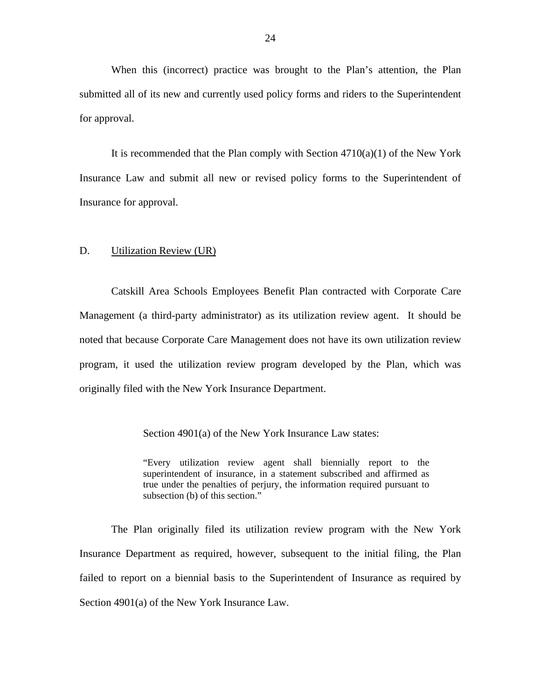When this (incorrect) practice was brought to the Plan's attention, the Plan submitted all of its new and currently used policy forms and riders to the Superintendent for approval.

It is recommended that the Plan comply with Section  $4710(a)(1)$  of the New York Insurance Law and submit all new or revised policy forms to the Superintendent of Insurance for approval.

#### D. Utilization Review (UR)

Catskill Area Schools Employees Benefit Plan contracted with Corporate Care Management (a third-party administrator) as its utilization review agent. It should be noted that because Corporate Care Management does not have its own utilization review program, it used the utilization review program developed by the Plan, which was originally filed with the New York Insurance Department.

Section 4901(a) of the New York Insurance Law states:

"Every utilization review agent shall biennially report to the superintendent of insurance, in a statement subscribed and affirmed as true under the penalties of perjury, the information required pursuant to subsection (b) of this section."

The Plan originally filed its utilization review program with the New York Insurance Department as required, however, subsequent to the initial filing, the Plan failed to report on a biennial basis to the Superintendent of Insurance as required by Section 4901(a) of the New York Insurance Law.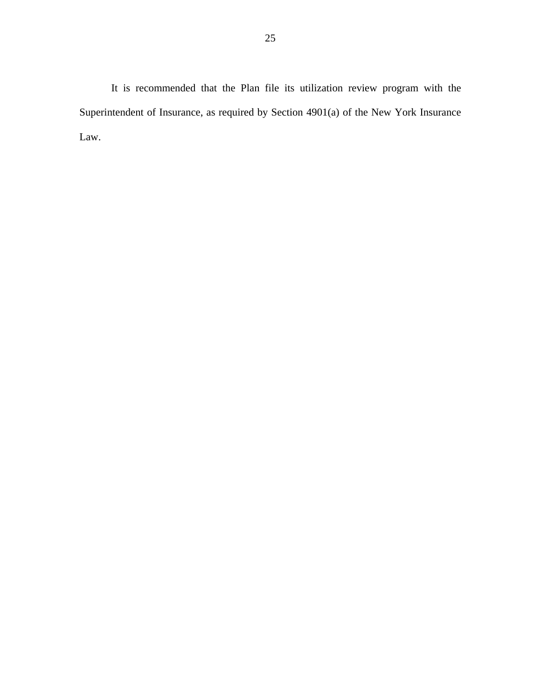It is recommended that the Plan file its utilization review program with the Superintendent of Insurance, as required by Section 4901(a) of the New York Insurance Law.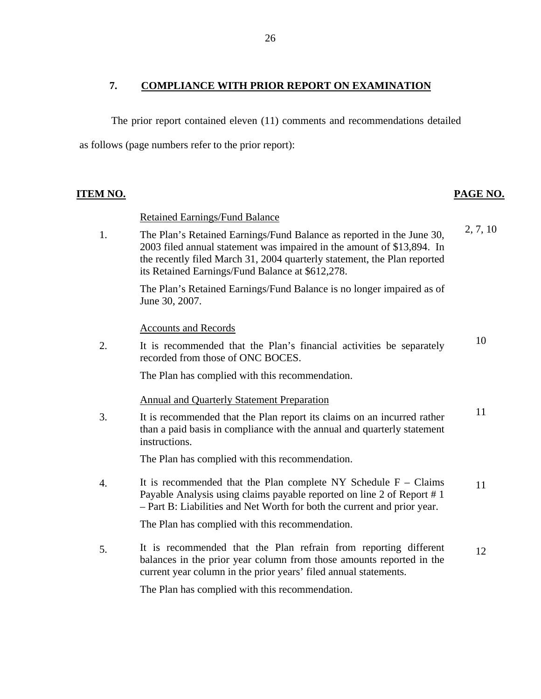## **7. COMPLIANCE WITH PRIOR REPORT ON EXAMINATION**

The prior report contained eleven (11) comments and recommendations detailed as follows (page numbers refer to the prior report):

| <b>ITEM NO.</b> |                                                                                                                                                                                                                                                                                 | PAGE NO. |
|-----------------|---------------------------------------------------------------------------------------------------------------------------------------------------------------------------------------------------------------------------------------------------------------------------------|----------|
|                 | <b>Retained Earnings/Fund Balance</b>                                                                                                                                                                                                                                           |          |
| 1.              | The Plan's Retained Earnings/Fund Balance as reported in the June 30,<br>2003 filed annual statement was impaired in the amount of \$13,894. In<br>the recently filed March 31, 2004 quarterly statement, the Plan reported<br>its Retained Earnings/Fund Balance at \$612,278. | 2, 7, 10 |
|                 | The Plan's Retained Earnings/Fund Balance is no longer impaired as of<br>June 30, 2007.                                                                                                                                                                                         |          |
|                 | <b>Accounts and Records</b>                                                                                                                                                                                                                                                     |          |
| 2.              | It is recommended that the Plan's financial activities be separately<br>recorded from those of ONC BOCES.                                                                                                                                                                       | 10       |
|                 | The Plan has complied with this recommendation.                                                                                                                                                                                                                                 |          |
|                 | Annual and Quarterly Statement Preparation                                                                                                                                                                                                                                      |          |
| 3.              | It is recommended that the Plan report its claims on an incurred rather<br>than a paid basis in compliance with the annual and quarterly statement<br>instructions.                                                                                                             | 11       |
|                 | The Plan has complied with this recommendation.                                                                                                                                                                                                                                 |          |
| 4.              | It is recommended that the Plan complete NY Schedule $F - Clains$<br>Payable Analysis using claims payable reported on line 2 of Report #1<br>- Part B: Liabilities and Net Worth for both the current and prior year.                                                          | 11       |
|                 | The Plan has complied with this recommendation.                                                                                                                                                                                                                                 |          |
| 5.              | It is recommended that the Plan refrain from reporting different<br>balances in the prior year column from those amounts reported in the<br>current year column in the prior years' filed annual statements.                                                                    | 12       |
|                 |                                                                                                                                                                                                                                                                                 |          |

The Plan has complied with this recommendation.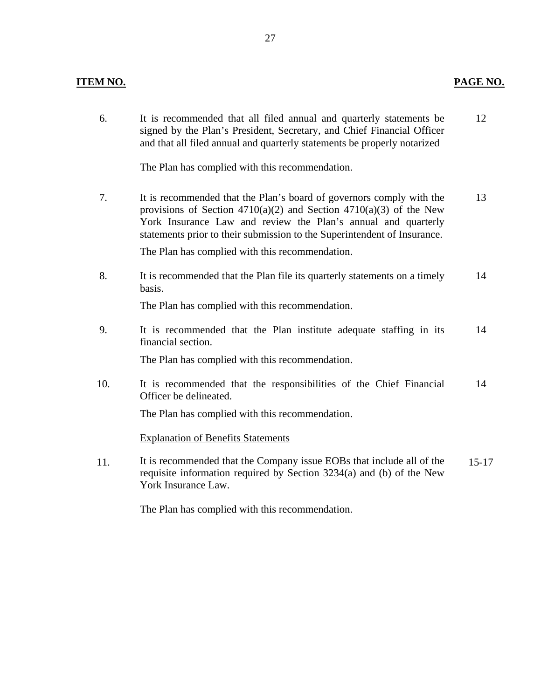## **ITEM NO.**

| 6.  | It is recommended that all filed annual and quarterly statements be<br>signed by the Plan's President, Secretary, and Chief Financial Officer<br>and that all filed annual and quarterly statements be properly notarized                                                               | 12        |
|-----|-----------------------------------------------------------------------------------------------------------------------------------------------------------------------------------------------------------------------------------------------------------------------------------------|-----------|
|     | The Plan has complied with this recommendation.                                                                                                                                                                                                                                         |           |
| 7.  | It is recommended that the Plan's board of governors comply with the<br>provisions of Section 4710(a)(2) and Section 4710(a)(3) of the New<br>York Insurance Law and review the Plan's annual and quarterly<br>statements prior to their submission to the Superintendent of Insurance. | 13        |
|     | The Plan has complied with this recommendation.                                                                                                                                                                                                                                         |           |
| 8.  | It is recommended that the Plan file its quarterly statements on a timely<br>basis.                                                                                                                                                                                                     | 14        |
|     | The Plan has complied with this recommendation.                                                                                                                                                                                                                                         |           |
| 9.  | It is recommended that the Plan institute adequate staffing in its<br>financial section.                                                                                                                                                                                                | 14        |
|     | The Plan has complied with this recommendation.                                                                                                                                                                                                                                         |           |
| 10. | It is recommended that the responsibilities of the Chief Financial<br>Officer be delineated.                                                                                                                                                                                            | 14        |
|     | The Plan has complied with this recommendation.                                                                                                                                                                                                                                         |           |
|     | <b>Explanation of Benefits Statements</b>                                                                                                                                                                                                                                               |           |
| 11. | It is recommended that the Company issue EOBs that include all of the<br>requisite information required by Section 3234(a) and (b) of the New<br>York Insurance Law.                                                                                                                    | $15 - 17$ |
|     | The Plan has complied with this recommendation.                                                                                                                                                                                                                                         |           |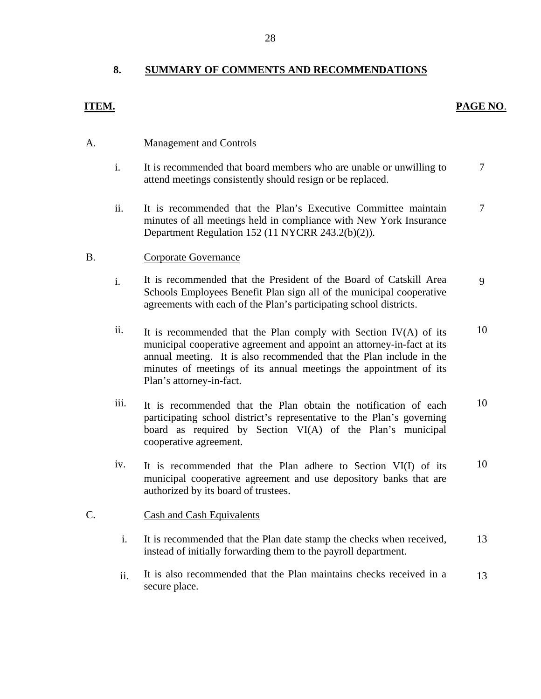#### **8. SUMMARY OF COMMENTS AND RECOMMENDATIONS**

### **ITEM.**

#### **PAGE NO**.

#### A. Management and Controls

- i. It is recommended that board members who are unable or unwilling to attend meetings consistently should resign or be replaced. 7
- ii. It is recommended that the Plan's Executive Committee maintain minutes of all meetings held in compliance with New York Insurance Department Regulation 152 (11 NYCRR 243.2(b)(2)). 7

#### B. Corporate Governance

- i. It is recommended that the President of the Board of Catskill Area Schools Employees Benefit Plan sign all of the municipal cooperative agreements with each of the Plan's participating school districts. 9
- ii. It is recommended that the Plan comply with Section  $IV(A)$  of its municipal cooperative agreement and appoint an attorney-in-fact at its annual meeting. It is also recommended that the Plan include in the minutes of meetings of its annual meetings the appointment of its Plan's attorney-in-fact. 10
- iii. It is recommended that the Plan obtain the notification of each participating school district's representative to the Plan's governing board as required by Section VI(A) of the Plan's municipal cooperative agreement. 10
- iv. It is recommended that the Plan adhere to Section VI(I) of its municipal cooperative agreement and use depository banks that are authorized by its board of trustees. 10

#### C. Cash and Cash Equivalents

- i. It is recommended that the Plan date stamp the checks when received, instead of initially forwarding them to the payroll department. 13
- ii. It is also recommended that the Plan maintains checks received in a secure place. 13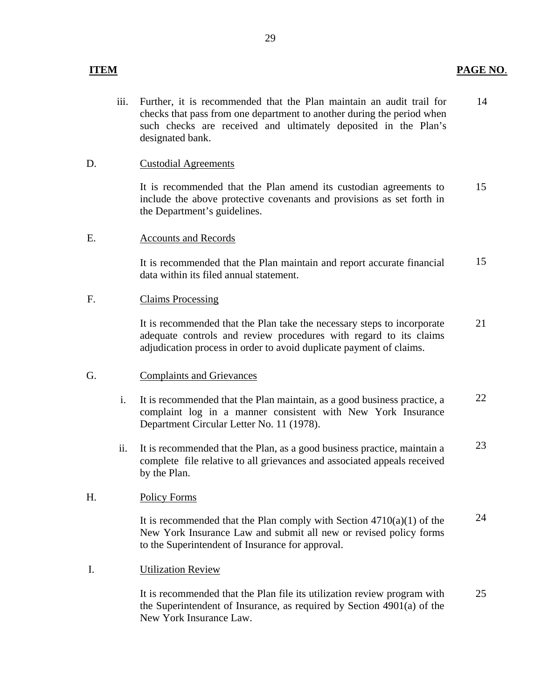iii. Further, it is recommended that the Plan maintain an audit trail for checks that pass from one department to another during the period when such checks are received and ultimately deposited in the Plan's designated bank. 14

#### D. Custodial Agreements

It is recommended that the Plan amend its custodian agreements to include the above protective covenants and provisions as set forth in the Department's guidelines. 15

E. Accounts and Records

It is recommended that the Plan maintain and report accurate financial data within its filed annual statement. 15

#### F. Claims Processing

It is recommended that the Plan take the necessary steps to incorporate adequate controls and review procedures with regard to its claims adjudication process in order to avoid duplicate payment of claims. 21

#### G. Complaints and Grievances

- i. It is recommended that the Plan maintain, as a good business practice, a complaint log in a manner consistent with New York Insurance Department Circular Letter No. 11 (1978). 22
- ii. It is recommended that the Plan, as a good business practice, maintain a complete file relative to all grievances and associated appeals received by the Plan. 23

#### H. Policy Forms

It is recommended that the Plan comply with Section  $4710(a)(1)$  of the New York Insurance Law and submit all new or revised policy forms to the Superintendent of Insurance for approval. 24

#### I. Utilization Review

It is recommended that the Plan file its utilization review program with the Superintendent of Insurance, as required by Section 4901(a) of the New York Insurance Law. 25

#### **PAGE NO**.